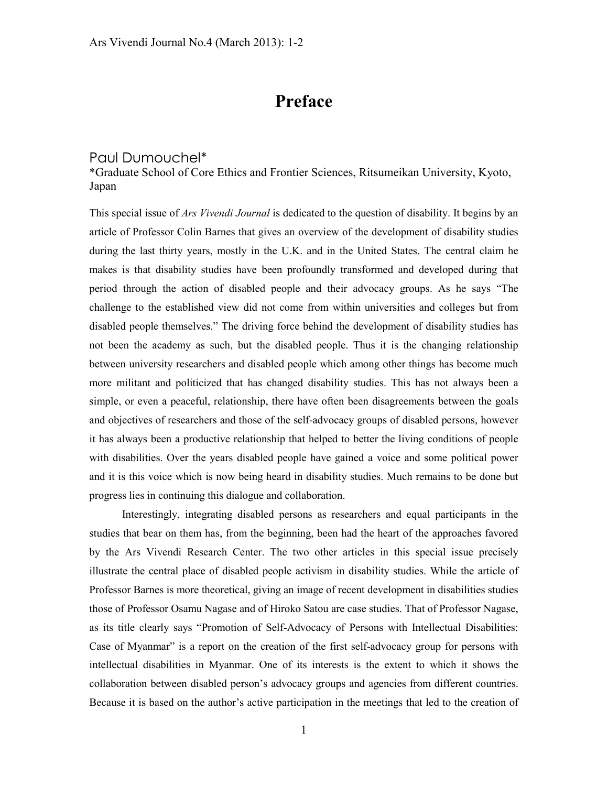## **Preface**

## Paul Dumouchel\*

\*Graduate School of Core Ethics and Frontier Sciences, Ritsumeikan University, Kyoto, Japan

This special issue of *Ars Vivendi Journal* is dedicated to the question of disability. It begins by an article of Professor Colin Barnes that gives an overview of the development of disability studies during the last thirty years, mostly in the U.K. and in the United States. The central claim he makes is that disability studies have been profoundly transformed and developed during that period through the action of disabled people and their advocacy groups. As he says "The challenge to the established view did not come from within universities and colleges but from disabled people themselves." The driving force behind the development of disability studies has not been the academy as such, but the disabled people. Thus it is the changing relationship between university researchers and disabled people which among other things has become much more militant and politicized that has changed disability studies. This has not always been a simple, or even a peaceful, relationship, there have often been disagreements between the goals and objectives of researchers and those of the self-advocacy groups of disabled persons, however it has always been a productive relationship that helped to better the living conditions of people with disabilities. Over the years disabled people have gained a voice and some political power and it is this voice which is now being heard in disability studies. Much remains to be done but progress lies in continuing this dialogue and collaboration.

Interestingly, integrating disabled persons as researchers and equal participants in the studies that bear on them has, from the beginning, been had the heart of the approaches favored by the Ars Vivendi Research Center. The two other articles in this special issue precisely illustrate the central place of disabled people activism in disability studies. While the article of Professor Barnes is more theoretical, giving an image of recent development in disabilities studies those of Professor Osamu Nagase and of Hiroko Satou are case studies. That of Professor Nagase, as its title clearly says "Promotion of Self-Advocacy of Persons with Intellectual Disabilities: Case of Myanmar" is a report on the creation of the first self-advocacy group for persons with intellectual disabilities in Myanmar. One of its interests is the extent to which it shows the collaboration between disabled person's advocacy groups and agencies from different countries. Because it is based on the author's active participation in the meetings that led to the creation of